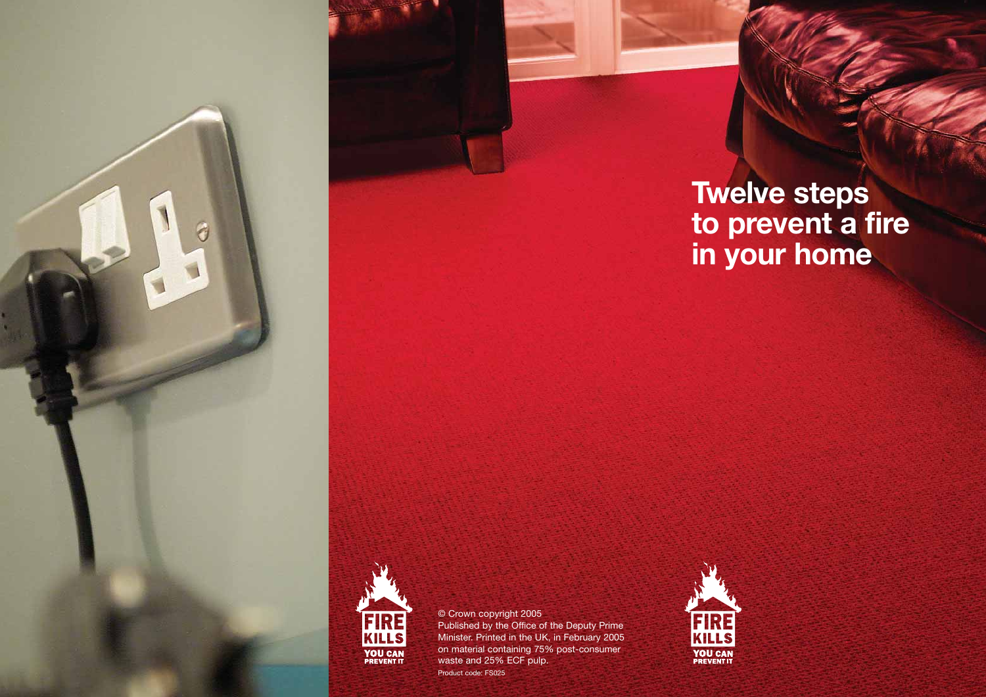**Twelve steps to prevent a fire in your home** 



© Crown copyright 2005 Published by the Office of the Deputy Prime Minister. Printed in the UK, in February 2005 on material containing 75% post-consumer waste and 25% ECF pulp. Product code: FS025